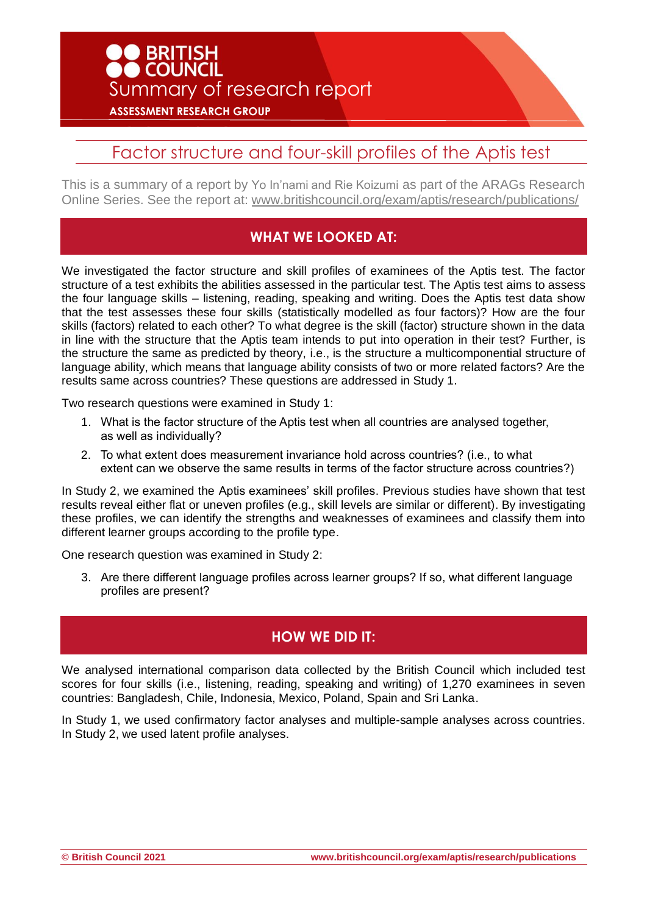

# Factor structure and four-skill profiles of the Aptis test

This is a summary of a report by Yo In'nami and Rie Koizumi as part of the ARAGs Research Online Series. See the report at: [www.britishcouncil.org/exam/aptis/research/publications/](http://www.britishcouncil.org/exam/aptis/research/publications/)

### **WHAT WE LOOKED AT:**

We investigated the factor structure and skill profiles of examinees of the Aptis test. The factor structure of a test exhibits the abilities assessed in the particular test. The Aptis test aims to assess the four language skills – listening, reading, speaking and writing. Does the Aptis test data show that the test assesses these four skills (statistically modelled as four factors)? How are the four skills (factors) related to each other? To what degree is the skill (factor) structure shown in the data in line with the structure that the Aptis team intends to put into operation in their test? Further, is the structure the same as predicted by theory, i.e., is the structure a multicomponential structure of language ability, which means that language ability consists of two or more related factors? Are the results same across countries? These questions are addressed in Study 1.

Two research questions were examined in Study 1:

- 1. What is the factor structure of the Aptis test when all countries are analysed together, as well as individually?
- 2. To what extent does measurement invariance hold across countries? (i.e., to what extent can we observe the same results in terms of the factor structure across countries?)

In Study 2, we examined the Aptis examinees' skill profiles. Previous studies have shown that test results reveal either flat or uneven profiles (e.g., skill levels are similar or different). By investigating these profiles, we can identify the strengths and weaknesses of examinees and classify them into different learner groups according to the profile type.

One research question was examined in Study 2:

3. Are there different language profiles across learner groups? If so, what different language profiles are present?

## **HOW WE DID IT:**

We analysed international comparison data collected by the British Council which included test scores for four skills (i.e., listening, reading, speaking and writing) of 1,270 examinees in seven countries: Bangladesh, Chile, Indonesia, Mexico, Poland, Spain and Sri Lanka.

In Study 1, we used confirmatory factor analyses and multiple-sample analyses across countries. In Study 2, we used latent profile analyses.